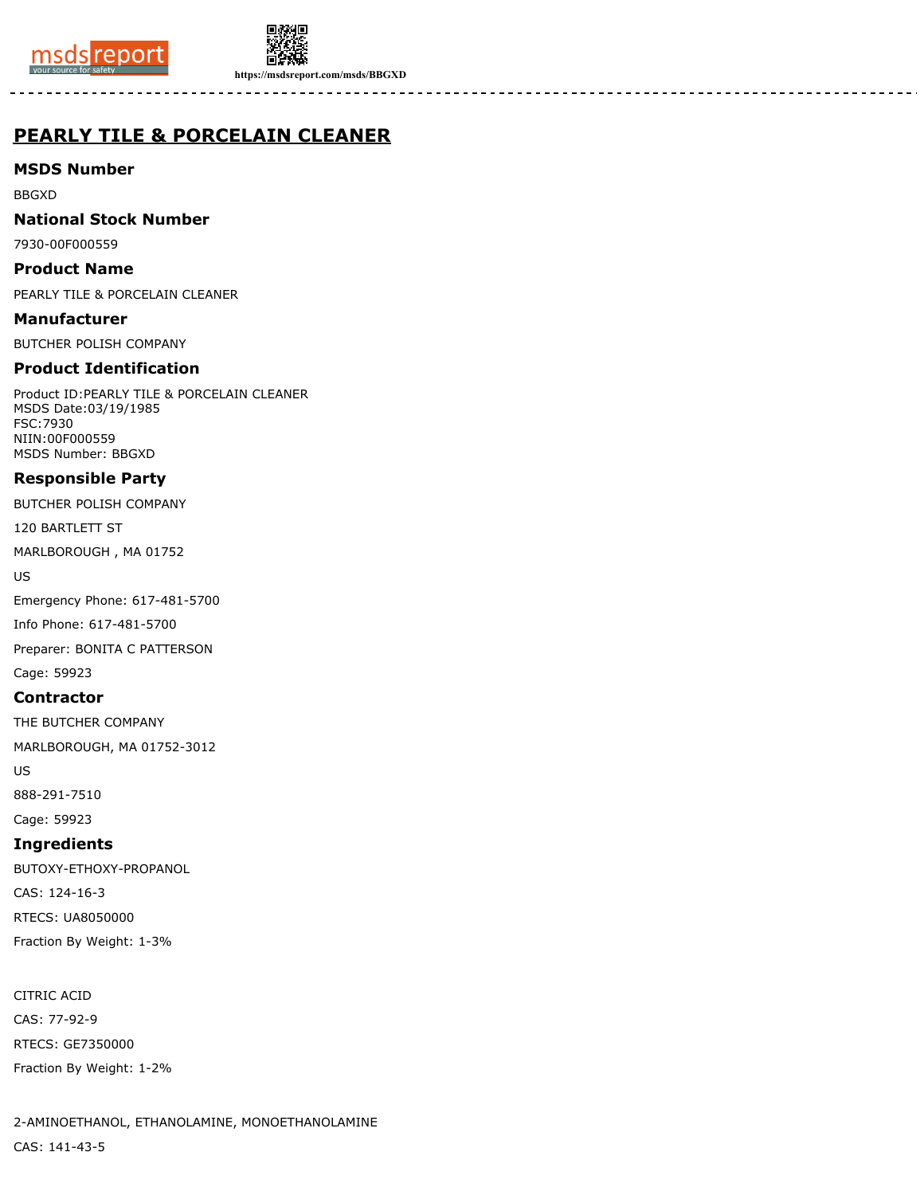



**https://msdsreport.com/msds/BBGXD**

# **PEARLY TILE & PORCELAIN CLEANER**

**MSDS Number**

BBGXD

**National Stock Number**

7930-00F000559

**Product Name**

PEARLY TILE & PORCELAIN CLEANER

**Manufacturer** BUTCHER POLISH COMPANY

## **Product Identification**

Product ID:PEARLY TILE & PORCELAIN CLEANER MSDS Date:03/19/1985 FSC:7930 NIIN:00F000559 MSDS Number: BBGXD

## **Responsible Party**

BUTCHER POLISH COMPANY

120 BARTLETT ST

MARLBOROUGH , MA 01752

US

Emergency Phone: 617-481-5700

Info Phone: 617-481-5700

Preparer: BONITA C PATTERSON

Cage: 59923

#### **Contractor**

THE BUTCHER COMPANY MARLBOROUGH, MA 01752-3012

US

888-291-7510 Cage: 59923

**Ingredients**

BUTOXY-ETHOXY-PROPANOL CAS: 124-16-3 RTECS: UA8050000 Fraction By Weight: 1-3%

CITRIC ACID CAS: 77-92-9 RTECS: GE7350000 Fraction By Weight: 1-2%